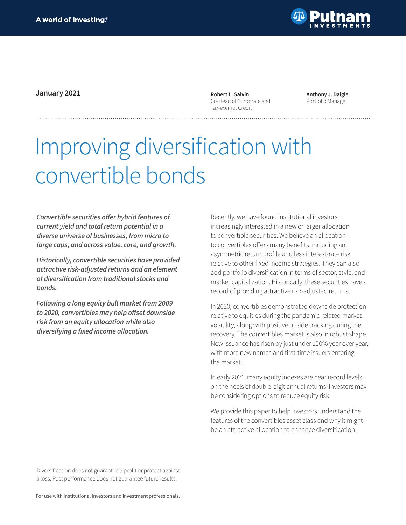

**January 2021 Robert L. Salvin** 

Co-Head of Corporate and Tax-exempt Credit

**Anthony J. Daigle** Portfolio Manager

# Improving diversification with convertible bonds

**Convertible securities offer hybrid features of current yield and total return potential in a diverse universe of businesses, from micro to large caps, and across value, core, and growth.** 

**Historically, convertible securities have provided attractive risk-adjusted returns and an element of diversification from traditional stocks and bonds.**

**Following a long equity bull market from 2009 to 2020, convertibles may help offset downside risk from an equity allocation while also diversifying a fixed income allocation.**

Recently, we have found institutional investors increasingly interested in a new or larger allocation to convertible securities. We believe an allocation to convertibles offers many benefits, including an asymmetric return profile and less interest-rate risk relative to other fixed income strategies. They can also add portfolio diversification in terms of sector, style, and market capitalization. Historically, these securities have a record of providing attractive risk-adjusted returns.

In 2020, convertibles demonstrated downside protection relative to equities during the pandemic-related market volatility, along with positive upside tracking during the recovery. The convertibles market is also in robust shape. New issuance has risen by just under 100% year over year, with more new names and first-time issuers entering the market.

In early 2021, many equity indexes are near record levels on the heels of double-digit annual returns. Investors may be considering options to reduce equity risk.

We provide this paper to help investors understand the features of the convertibles asset class and why it might be an attractive allocation to enhance diversification.

Diversification does not guarantee a profit or protect against a loss. Past performance does not guarantee future results.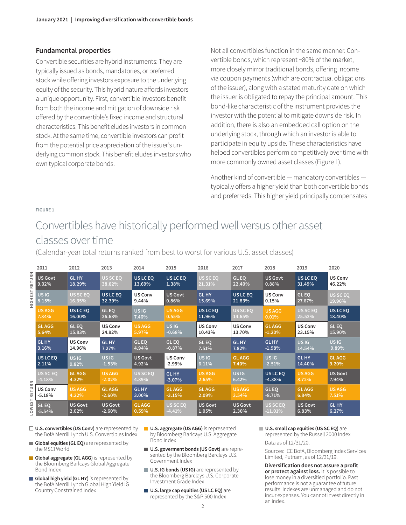# **Fundamental properties**

Convertible securities are hybrid instruments: They are typically issued as bonds, mandatories, or preferred stock while offering investors exposure to the underlying equity of the security. This hybrid nature affords investors a unique opportunity. First, convertible investors benefit from both the income and mitigation of downside risk offered by the convertible's fixed income and structural characteristics. This benefit eludes investors in common stock. At the same time, convertible investors can profit from the potential price appreciation of the issuer's underlying common stock. This benefit eludes investors who own typical corporate bonds.

Not all convertibles function in the same manner. Convertible bonds, which represent ~80% of the market, more closely mirror traditional bonds, offering income via coupon payments (which are contractual obligations of the issuer), along with a stated maturity date on which the issuer is obligated to repay the principal amount. This bond-like characteristic of the instrument provides the investor with the potential to mitigate downside risk. In addition, there is also an embedded call option on the underlying stock, through which an investor is able to participate in equity upside. These characteristics have helped convertibles perform competitively over time with more commonly owned asset classes (Figure 1).

Another kind of convertible — mandatory convertibles typically offers a higher yield than both convertible bonds and preferreds. This higher yield principally compensates

#### **FIGURE 1**

# Convertibles have historically performed well versus other asset classes over time

(Calendar-year total returns ranked from best to worst for various U.S. asset classes)

**2011 2012 2013 2014 2015 2016 2017 2018 2019 2020 HIGHEST RETURN HIGHESTRETURN US Govt GL HY US SC EQ US LC EQ US LC EQ US SC EQ GL EQ US Govt US LC EQ US Conv 13.69% 31.49% 46.22% 9.02% 18.29% 1.38% 38.82% 21.31% 22.40% 0.88% US IG US LC EQ US Conv US Govt GL HY US LC EQ US Conv GL EQ 15.69% 21.83% 8.15% 32.39% 9.44% 0.86% 0.15% 27.67% 19.96% GL EQ US SC EQ US SC EQ US AGG US LC EQ US IG US AGG US LC EQ US AGG US LC EQ 26.68% 11.96% 25.52% 7.84% 16.00% 0.55% 14.65% 0.01% 18.40% GL EQ GL EQ US Conv US IG US Conv GL AGG US Conv US Conv GL AGG 15.83% 24.92% -0.68% 10.43% 13.70% 23.15% 15.90% 5.64% 5.97% -1.20% GL HY US Conv GL HY GL EQ GL EQ GL EQ GL HY GL HY US IG US IG 4.94% -0.87% 7.51% 14.54% 9.89% 3.16% 14.96% 7.27% 7.82% -1.98% US LC EQ US IG GL AGG US IG US IG US Govt US Conv GL AGG US IG GL HY 2.11% 9.82% 4.92% -2.99% 6.11% 7.40% 14.40% 9.20% -2.51% US SC EQ US SC EQ US IG US AGG GL AGG US AGG GL HY US AGG US LC EQ US Govt -4.18% 4.89% 7.94% 4.32% -2.02% -3.07% 2.65% 6.42% -4.38% 8.72% LOWEST RETURN US Conv GL HY GL EQ GL AGG US AGG GL AGG GL AGG GL AGG US AGG -5.18% -2.60% 3.00% -3.15% 2.09% 3.54% -8.71% 6.84% 4.22% 7.51% GL EQ US Govt US Govt GL AGG US SC EQ US Govt US Govt US SC EQ US Govt GL HY -4.41% -11.01% -5.54% 2.02% -2.60% 0.59% 1.05% 2.30% 6.83% 6.27%**

- **U.S. convertibles (US Conv)** are represented by the BofA Merrill Lynch U.S. Convertibles Index
- **Global equities (GL EQ)** are represented by the MSCI World
- **Global aggregate (GL AGG)** is represented by the Bloomberg Barlcays Global Aggregate Bond Index
- **Global high yield (GL HY)** is represented by the BofA Merrill Lynch Global High Yield IG Country Constrained Index
- **U.S. aggregate (US AGG)** is represented by Bloomberg Barlcays U.S. Aggregate Bond Index
- **U.S. goverment bonds (US Govt)** are represented by the Bloomberg Barclays U.S. Government Index
- **U.S. IG bonds (US IG)** are represented by the Bloomberg Barclays U.S. Corporate Investment Grade Index
- **U.S. large cap equities (US LC EQ)** are represented by the S&P 500 Index

**U.S. small cap equities (US SC EQ)** are represented by the Russell 2000 Index

Data as of 12/31/20.

Sources: ICE BofA, Bloomberg Index Services Limited, Putnam, as of 12/31/19.

**Diversification does not assure a profit or protect against loss.** It is possible to lose money in a diversified portfolio. Past performance is not a guarantee of future results. Indexes are unmanaged and do not incur expenses. You cannot invest directly in an index.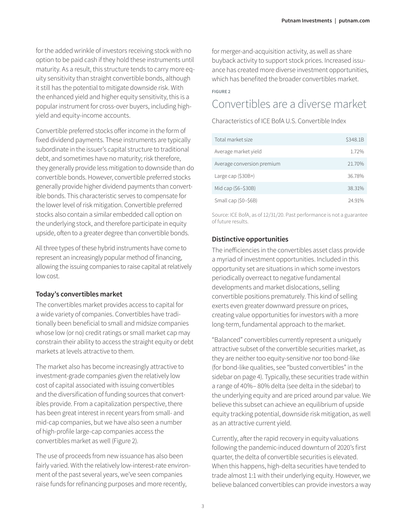for the added wrinkle of investors receiving stock with no option to be paid cash if they hold these instruments until maturity. As a result, this structure tends to carry more equity sensitivity than straight convertible bonds, although it still has the potential to mitigate downside risk. With the enhanced yield and higher equity sensitivity, this is a popular instrument for cross-over buyers, including highyield and equity-income accounts.

Convertible preferred stocks offer income in the form of fixed dividend payments. These instruments are typically subordinate in the issuer's capital structure to traditional debt, and sometimes have no maturity; risk therefore, they generally provide less mitigation to downside than do convertible bonds. However, convertible preferred stocks generally provide higher dividend payments than convertible bonds. This characteristic serves to compensate for the lower level of risk mitigation. Convertible preferred stocks also contain a similar embedded call option on the underlying stock, and therefore participate in equity upside, often to a greater degree than convertible bonds.

All three types of these hybrid instruments have come to represent an increasingly popular method of financing, allowing the issuing companies to raise capital at relatively low cost.

### **Today's convertibles market**

The convertibles market provides access to capital for a wide variety of companies. Convertibles have traditionally been beneficial to small and midsize companies whose low (or no) credit ratings or small market cap may constrain their ability to access the straight equity or debt markets at levels attractive to them.

The market also has become increasingly attractive to investment-grade companies given the relatively low cost of capital associated with issuing convertibles and the diversification of funding sources that convertibles provide. From a capitalization perspective, there has been great interest in recent years from small- and mid-cap companies, but we have also seen a number of high-profile large-cap companies access the convertibles market as well (Figure 2).

The use of proceeds from new issuance has also been fairly varied. With the relatively low-interest-rate environment of the past several years, we've seen companies raise funds for refinancing purposes and more recently,

for merger-and-acquisition activity, as well as share buyback activity to support stock prices. Increased issuance has created more diverse investment opportunities, which has benefited the broader convertibles market.

#### **FIGURE 2**

# Convertibles are a diverse market

Characteristics of ICE BofA U.S. Convertible Index

| Total market size          | \$348.1B |
|----------------------------|----------|
| Average market yield       | 1.72%    |
| Average conversion premium | 21.70%   |
| Large cap $(S30B+)$        | 36.78%   |
| Mid cap (\$6–\$30B)        | 38.31%   |
| Small cap (\$0-\$6B)       | 24.91%   |

Source: ICE BofA, as of 12/31/20. Past performance is not a guarantee of future results.

# **Distinctive opportunities**

The inefficiencies in the convertibles asset class provide a myriad of investment opportunities. Included in this opportunity set are situations in which some investors periodically overreact to negative fundamental developments and market dislocations, selling convertible positions prematurely. This kind of selling exerts even greater downward pressure on prices, creating value opportunities for investors with a more long-term, fundamental approach to the market.

"Balanced" convertibles currently represent a uniquely attractive subset of the convertible securities market, as they are neither too equity-sensitive nor too bond-like (for bond-like qualities, see "busted convertibles" in the sidebar on page 4). Typically, these securities trade within a range of 40%– 80% delta (see delta in the sidebar) to the underlying equity and are priced around par value. We believe this subset can achieve an equilibrium of upside equity tracking potential, downside risk mitigation, as well as an attractive current yield.

Currently, after the rapid recovery in equity valuations following the pandemic-induced downturn of 2020's first quarter, the delta of convertible securities is elevated. When this happens, high-delta securities have tended to trade almost 1:1 with their underlying equity. However, we believe balanced convertibles can provide investors a way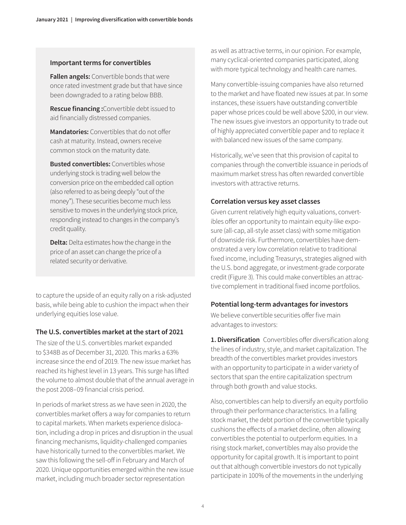### **Important terms for convertibles**

**Fallen angels:** Convertible bonds that were once rated investment grade but that have since been downgraded to a rating below BBB.

**Rescue financing :**Convertible debt issued to aid financially distressed companies.

**Mandatories:** Convertibles that do not offer cash at maturity. Instead, owners receive common stock on the maturity date.

**Busted convertibles:** Convertibles whose underlying stock is trading well below the conversion price on the embedded call option (also referred to as being deeply "out of the money"). These securities become much less sensitive to moves in the underlying stock price, responding instead to changes in the company's credit quality.

**Delta:** Delta estimates how the change in the price of an asset can change the price of a related security or derivative.

to capture the upside of an equity rally on a risk-adjusted basis, while being able to cushion the impact when their underlying equities lose value.

### **The U.S. convertibles market at the start of 2021**

The size of the U.S. convertibles market expanded to \$348B as of December 31, 2020. This marks a 63% increase since the end of 2019. The new issue market has reached its highest level in 13 years. This surge has lifted the volume to almost double that of the annual average in the post 2008–09 financial crisis period.

In periods of market stress as we have seen in 2020, the convertibles market offers a way for companies to return to capital markets. When markets experience dislocation, including a drop in prices and disruption in the usual financing mechanisms, liquidity-challenged companies have historically turned to the convertibles market. We saw this following the sell-off in February and March of 2020. Unique opportunities emerged within the new issue market, including much broader sector representation

as well as attractive terms, in our opinion. For example, many cyclical-oriented companies participated, along with more typical technology and health care names.

Many convertible-issuing companies have also returned to the market and have floated new issues at par. In some instances, these issuers have outstanding convertible paper whose prices could be well above \$200, in our view. The new issues give investors an opportunity to trade out of highly appreciated convertible paper and to replace it with balanced new issues of the same company.

Historically, we've seen that this provision of capital to companies through the convertible issuance in periods of maximum market stress has often rewarded convertible investors with attractive returns.

### **Correlation versus key asset classes**

Given current relatively high equity valuations, convertibles offer an opportunity to maintain equity-like exposure (all-cap, all-style asset class) with some mitigation of downside risk. Furthermore, convertibles have demonstrated a very low correlation relative to traditional fixed income, including Treasurys, strategies aligned with the U.S. bond aggregate, or investment-grade corporate credit (Figure 3). This could make convertibles an attractive complement in traditional fixed income portfolios.

## **Potential long-term advantages for investors**

We believe convertible securities offer five main advantages to investors:

**1. Diversification** Convertibles offer diversification along the lines of industry, style, and market capitalization. The breadth of the convertibles market provides investors with an opportunity to participate in a wider variety of sectors that span the entire capitalization spectrum through both growth and value stocks.

Also, convertibles can help to diversify an equity portfolio through their performance characteristics. In a falling stock market, the debt portion of the convertible typically cushions the effects of a market decline, often allowing convertibles the potential to outperform equities. In a rising stock market, convertibles may also provide the opportunity for capital growth. It is important to point out that although convertible investors do not typically participate in 100% of the movements in the underlying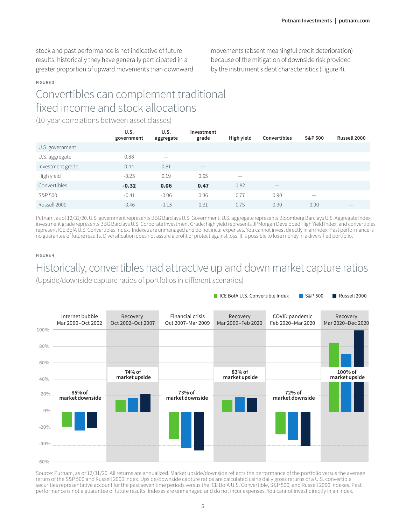stock and past performance is not indicative of future results, historically they have generally participated in a greater proportion of upward movements than downward movements (absent meaningful credit deterioration) because of the mitigation of downside risk provided by the instrument's debt characteristics (Figure 4).

■ ICE BofA U.S. Convertible Index ■ S&P 500 ■ Russell 2000

#### **FIGURE 3**

# Convertibles can complement traditional fixed income and stock allocations

(10-year correlations between asset classes)

|                  | U.S.<br>government | U.S.<br>aggregate | Investment<br>grade | High yield | <b>Convertibles</b> | S&P 500                  | Russell 2000             |
|------------------|--------------------|-------------------|---------------------|------------|---------------------|--------------------------|--------------------------|
| U.S. government  |                    |                   |                     |            |                     |                          |                          |
| U.S. aggregate   | 0.88               | -                 |                     |            |                     |                          |                          |
| Investment grade | 0.44               | 0.81              |                     |            |                     |                          |                          |
| High yield       | $-0.25$            | 0.19              | 0.65                |            |                     |                          |                          |
| Convertibles     | $-0.32$            | 0.06              | 0.47                | 0.82       |                     |                          |                          |
| S&P 500          | $-0.41$            | $-0.06$           | 0.36                | 0.77       | 0.90                | $\overline{\phantom{a}}$ |                          |
| Russell 2000     | $-0.46$            | $-0.13$           | 0.31                | 0.75       | 0.90                | 0.90                     | $\overline{\phantom{a}}$ |

Putnam, as of 12/31/20. U.S. government represents BBG Barclays U.S. Government; U.S. aggregate represents Bloomberg Barclays U.S. Aggregate Index; investment grade represents BBG Barclays U.S. Corporate Investment Grade; high yield represents JPMorgan Developed High Yield Index; and convertibles represent ICE BofA U.S. Convertibles Index. Indexes are unmanaged and do not incur expenses. You cannot invest directly in an index. Past performance is no guarantee of future results. Diversification does not assure a profit or protect against loss. It is possible to lose money in a diversified portfolio.

#### **FIGURE 4**

# Historically, convertibles had attractive up and down market capture ratios

(Upside/downside capture ratios of portfolios in different scenarios)



Source: Putnam, as of 12/31/20. All returns are annualized. Market upside/downside reflects the performance of the portfolio versus the average return of the S&P 500 and Russell 2000 Index. Upside/downside capture ratios are calculated using daily gross returns of a U.S. convertible securities representative account for the past seven time periods versus the ICE BofA U.S. Convertible, S&P 500, and Russell 2000 indexes. Past performance is not a guarantee of future results. Indexes are unmanaged and do not incur expenses. You cannot invest directly in an index.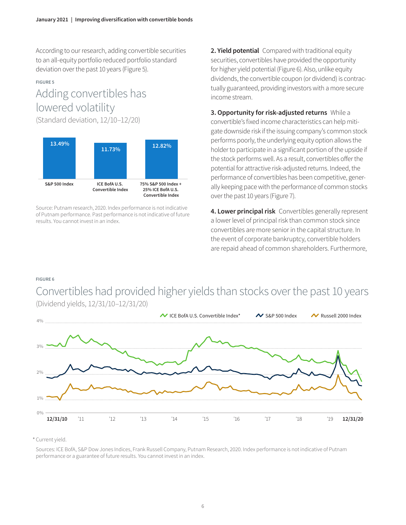According to our research, adding convertible securities to an all-equity portfolio reduced portfolio standard deviation over the past 10 years (Figure 5).

#### **FIGURE 5**

# Adding convertibles has lowered volatility

(Standard deviation, 12/10–12/20)



Source: Putnam research, 2020. Index performance is not indicative of Putnam performance. Past performance is not indicative of future results. You cannot invest in an index.

**2. Yield potential** Compared with traditional equity securities, convertibles have provided the opportunity for higher yield potential (Figure 6). Also, unlike equity dividends, the convertible coupon (or dividend) is contractually guaranteed, providing investors with a more secure income stream.

**3. Opportunity for risk-adjusted returns** While a convertible's fixed income characteristics can help mitigate downside risk if the issuing company's common stock performs poorly, the underlying equity option allows the holder to participate in a significant portion of the upside if the stock performs well. As a result, convertibles offer the potential for attractive risk-adjusted returns. Indeed, the performance of convertibles has been competitive, generally keeping pace with the performance of common stocks over the past 10 years (Figure 7).

**4. Lower principal risk** Convertibles generally represent a lower level of principal risk than common stock since convertibles are more senior in the capital structure. In the event of corporate bankruptcy, convertible holders are repaid ahead of common shareholders. Furthermore,

### **FIGURE 6**

Convertibles had provided higher yields than stocks over the past 10 years (Dividend yields, 12/31/10–12/31/20)



\* Current yield.

Sources: ICE BofA, S&P Dow Jones Indices, Frank Russell Company, Putnam Research, 2020. Index performance is not indicative of Putnam performance or a guarantee of future results. You cannot invest in an index.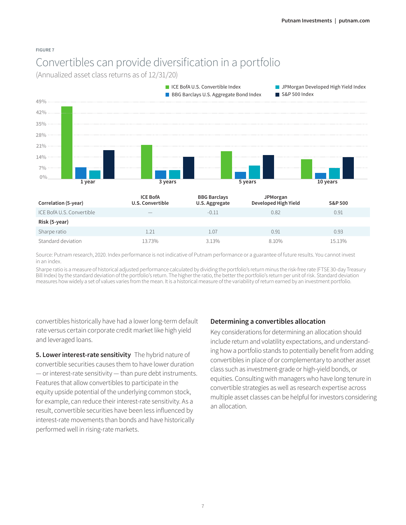#### **FIGURE 7**

# Convertibles can provide diversification in a portfolio

(Annualized asset class returns as of 12/31/20)



Source: Putnam research, 2020. Index performance is not indicative of Putnam performance or a guarantee of future results. You cannot invest in an index.

Sharpe ratio is a measure of historical adjusted performance calculated by dividing the portfolio's return minus the risk-free rate (FTSE 30-day Treasury Bill Index) by the standard deviation of the portfolio's return. The higher the ratio, the better the portfolio's return per unit of risk. Standard deviation measures how widely a set of values varies from the mean. It is a historical measure of the variability of return earned by an investment portfolio.

convertibles historically have had a lower long-term default rate versus certain corporate credit market like high yield and leveraged loans.

**5. Lower interest-rate sensitivity** The hybrid nature of convertible securities causes them to have lower duration — or interest-rate sensitivity — than pure debt instruments. Features that allow convertibles to participate in the equity upside potential of the underlying common stock, for example, can reduce their interest-rate sensitivity. As a result, convertible securities have been less influenced by interest-rate movements than bonds and have historically performed well in rising-rate markets.

### **Determining a convertibles allocation**

Key considerations for determining an allocation should include return and volatility expectations, and understanding how a portfolio stands to potentially benefit from adding convertibles in place of or complementary to another asset class such as investment-grade or high-yield bonds, or equities. Consulting with managers who have long tenure in convertible strategies as well as research expertise across multiple asset classes can be helpful for investors considering an allocation.